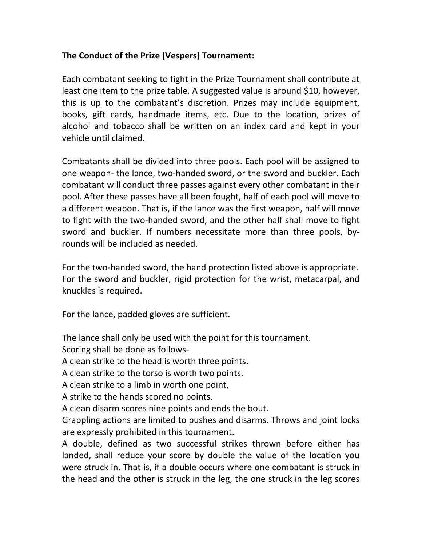## **The Conduct of the Prize (Vespers) Tournament:**

Each combatant seeking to fight in the Prize Tournament shall contribute at least one item to the prize table. A suggested value is around \$10, however, this is up to the combatant's discretion. Prizes may include equipment, books, gift cards, handmade items, etc. Due to the location, prizes of alcohol and tobacco shall be written on an index card and kept in your vehicle until claimed.

Combatants shall be divided into three pools. Each pool will be assigned to one weapon- the lance, two-handed sword, or the sword and buckler. Each combatant will conduct three passes against every other combatant in their pool. After these passes have all been fought, half of each pool will move to a different weapon. That is, if the lance was the first weapon, half will move to fight with the two-handed sword, and the other half shall move to fight sword and buckler. If numbers necessitate more than three pools, byrounds will be included as needed.

For the two-handed sword, the hand protection listed above is appropriate. For the sword and buckler, rigid protection for the wrist, metacarpal, and knuckles is required.

For the lance, padded gloves are sufficient.

The lance shall only be used with the point for this tournament.

Scoring shall be done as follows-

A clean strike to the head is worth three points.

A clean strike to the torso is worth two points.

A clean strike to a limb in worth one point,

A strike to the hands scored no points.

A clean disarm scores nine points and ends the bout.

Grappling actions are limited to pushes and disarms. Throws and joint locks are expressly prohibited in this tournament.

A double, defined as two successful strikes thrown before either has landed, shall reduce your score by double the value of the location you were struck in. That is, if a double occurs where one combatant is struck in the head and the other is struck in the leg, the one struck in the leg scores